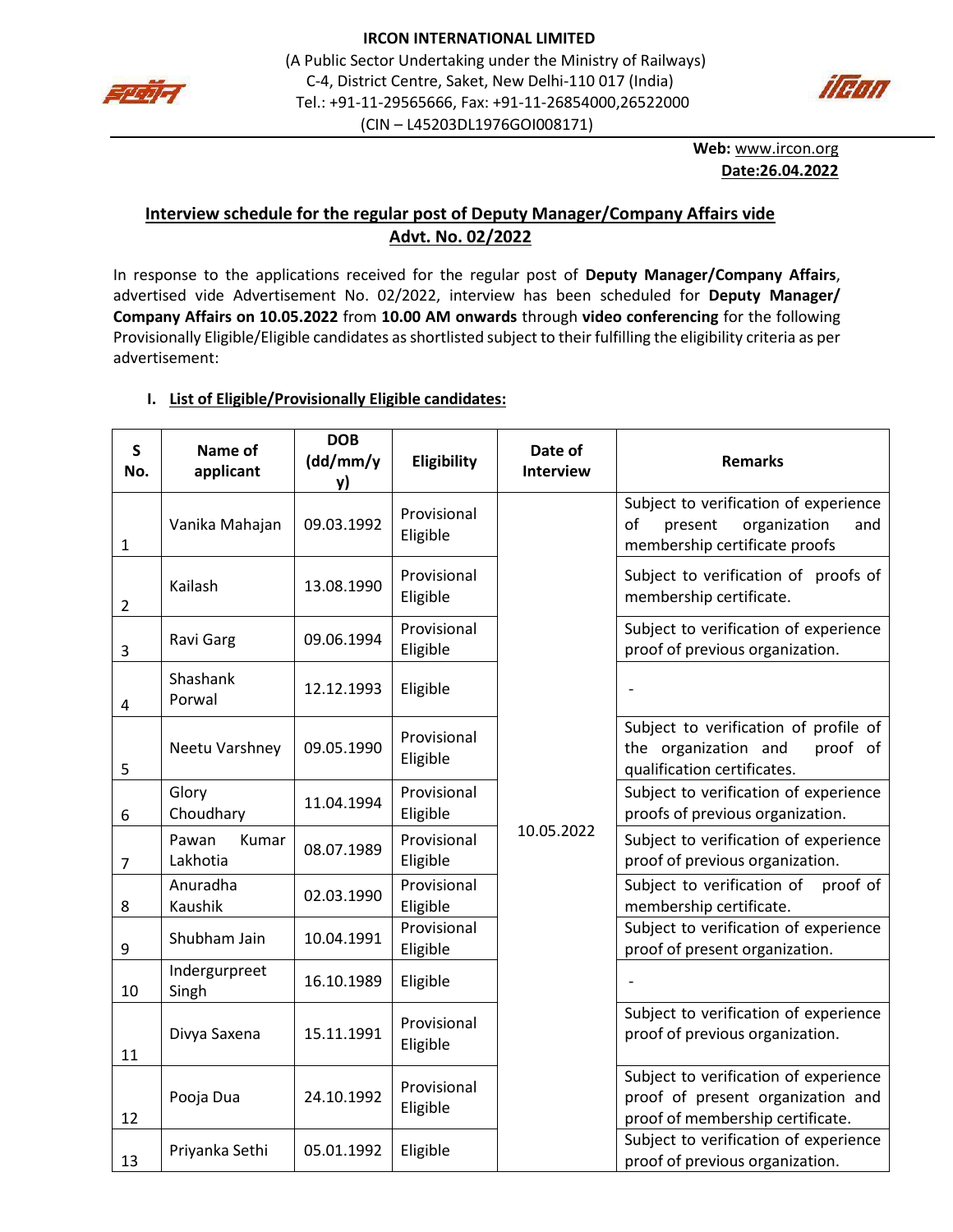



**Web:** [www.ircon.org](http://www.ircon.org/) **Date:26.04.2022**

## **Interview schedule for the regular post of Deputy Manager/Company Affairs vide Advt. No. 02/2022**

In response to the applications received for the regular post of **Deputy Manager/Company Affairs**, advertised vide Advertisement No. 02/2022, interview has been scheduled for **Deputy Manager/ Company Affairs on 10.05.2022** from **10.00 AM onwards** through **video conferencing** for the following Provisionally Eligible/Eligible candidates as shortlisted subject to their fulfilling the eligibility criteria as per advertisement:

| S<br>No.       | Name of<br>applicant       | <b>DOB</b><br>(dd/mm/y<br>y) | Eligibility             | Date of<br><b>Interview</b> | <b>Remarks</b>                                                                                                 |
|----------------|----------------------------|------------------------------|-------------------------|-----------------------------|----------------------------------------------------------------------------------------------------------------|
| 1              | Vanika Mahajan             | 09.03.1992                   | Provisional<br>Eligible | 10.05.2022                  | Subject to verification of experience<br>of<br>present<br>organization<br>and<br>membership certificate proofs |
| $\overline{2}$ | Kailash                    | 13.08.1990                   | Provisional<br>Eligible |                             | Subject to verification of proofs of<br>membership certificate.                                                |
| 3              | Ravi Garg                  | 09.06.1994                   | Provisional<br>Eligible |                             | Subject to verification of experience<br>proof of previous organization.                                       |
| 4              | Shashank<br>Porwal         | 12.12.1993                   | Eligible                |                             |                                                                                                                |
| 5              | Neetu Varshney             | 09.05.1990                   | Provisional<br>Eligible |                             | Subject to verification of profile of<br>proof of<br>the organization and<br>qualification certificates.       |
| 6              | Glory<br>Choudhary         | 11.04.1994                   | Provisional<br>Eligible |                             | Subject to verification of experience<br>proofs of previous organization.                                      |
| 7              | Pawan<br>Kumar<br>Lakhotia | 08.07.1989                   | Provisional<br>Eligible |                             | Subject to verification of experience<br>proof of previous organization.                                       |
| 8              | Anuradha<br>Kaushik        | 02.03.1990                   | Provisional<br>Eligible |                             | Subject to verification of<br>proof of<br>membership certificate.                                              |
| 9              | Shubham Jain               | 10.04.1991                   | Provisional<br>Eligible |                             | Subject to verification of experience<br>proof of present organization.                                        |
| 10             | Indergurpreet<br>Singh     | 16.10.1989                   | Eligible                |                             |                                                                                                                |
| 11             | Divya Saxena               | 15.11.1991                   | Provisional<br>Eligible |                             | Subject to verification of experience<br>proof of previous organization.                                       |
| 12             | Pooja Dua                  | 24.10.1992                   | Provisional<br>Eligible |                             | Subject to verification of experience<br>proof of present organization and<br>proof of membership certificate. |
| 13             | Priyanka Sethi             | 05.01.1992                   | Eligible                |                             | Subject to verification of experience<br>proof of previous organization.                                       |

### **I. List of Eligible/Provisionally Eligible candidates:**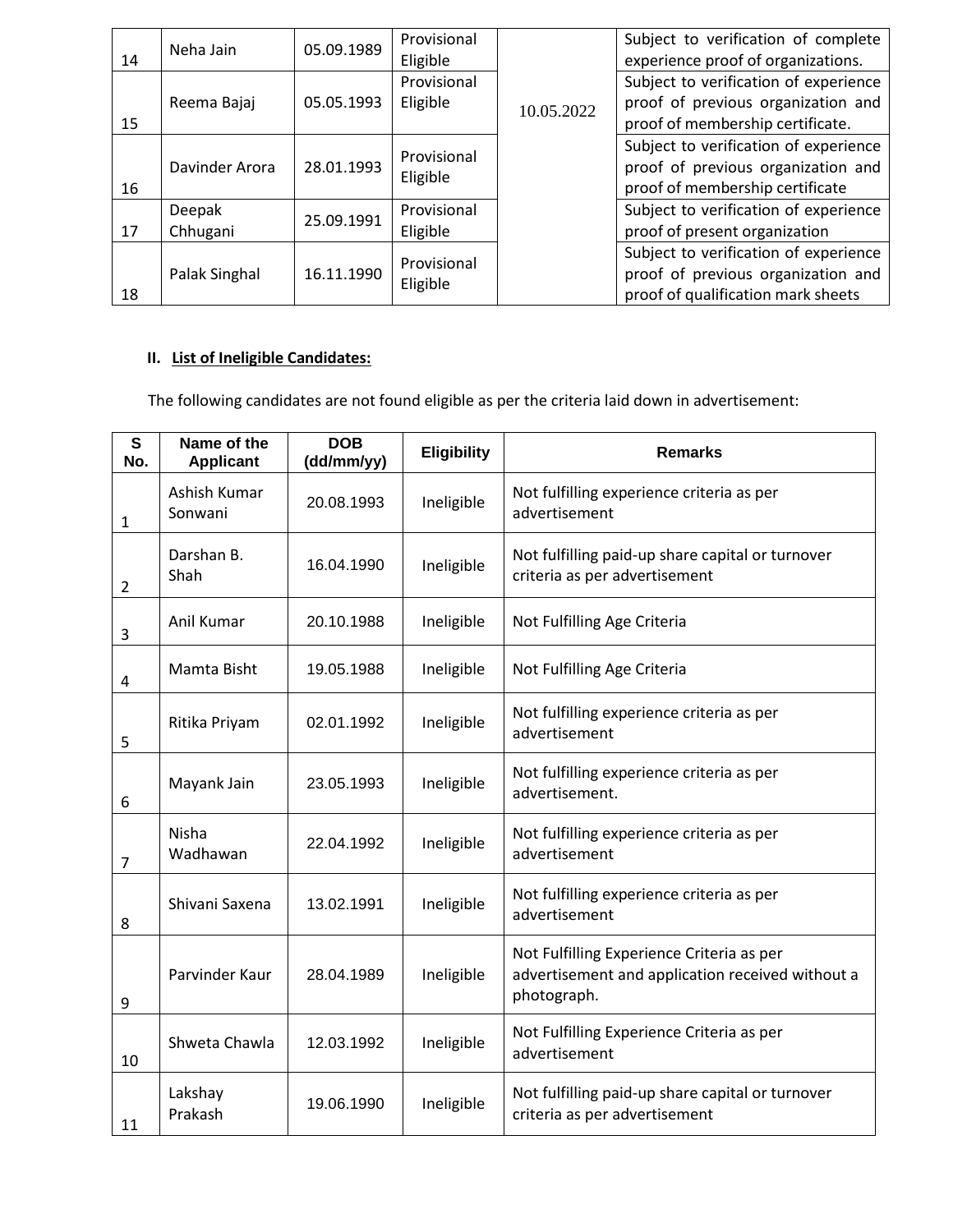| 14 | Neha Jain          | 05.09.1989 | Provisional<br>Eligible |            | Subject to verification of complete<br>experience proof of organizations.                                         |
|----|--------------------|------------|-------------------------|------------|-------------------------------------------------------------------------------------------------------------------|
| 15 | Reema Bajaj        | 05.05.1993 | Provisional<br>Eligible | 10.05.2022 | Subject to verification of experience<br>proof of previous organization and<br>proof of membership certificate.   |
| 16 | Davinder Arora     | 28.01.1993 | Provisional<br>Eligible |            | Subject to verification of experience<br>proof of previous organization and<br>proof of membership certificate    |
| 17 | Deepak<br>Chhugani | 25.09.1991 | Provisional<br>Eligible |            | Subject to verification of experience<br>proof of present organization                                            |
| 18 | Palak Singhal      | 16.11.1990 | Provisional<br>Eligible |            | Subject to verification of experience<br>proof of previous organization and<br>proof of qualification mark sheets |

## **II. List of Ineligible Candidates:**

The following candidates are not found eligible as per the criteria laid down in advertisement:

| S<br>No. | Name of the<br><b>Applicant</b> | <b>DOB</b><br>(dd/mm/yy) | <b>Eligibility</b> | <b>Remarks</b>                                                                                               |
|----------|---------------------------------|--------------------------|--------------------|--------------------------------------------------------------------------------------------------------------|
| 1        | Ashish Kumar<br>Sonwani         | 20.08.1993               | Ineligible         | Not fulfilling experience criteria as per<br>advertisement                                                   |
| 2        | Darshan B.<br>Shah              | 16.04.1990               | Ineligible         | Not fulfilling paid-up share capital or turnover<br>criteria as per advertisement                            |
| 3        | Anil Kumar                      | 20.10.1988               | Ineligible         | Not Fulfilling Age Criteria                                                                                  |
| 4        | Mamta Bisht                     | 19.05.1988               | Ineligible         | Not Fulfilling Age Criteria                                                                                  |
| 5        | Ritika Priyam                   | 02.01.1992               | Ineligible         | Not fulfilling experience criteria as per<br>advertisement                                                   |
| 6        | Mayank Jain                     | 23.05.1993               | Ineligible         | Not fulfilling experience criteria as per<br>advertisement.                                                  |
| 7        | Nisha<br>Wadhawan               | 22.04.1992               | Ineligible         | Not fulfilling experience criteria as per<br>advertisement                                                   |
| 8        | Shivani Saxena                  | 13.02.1991               | Ineligible         | Not fulfilling experience criteria as per<br>advertisement                                                   |
| 9        | Parvinder Kaur                  | 28.04.1989               | Ineligible         | Not Fulfilling Experience Criteria as per<br>advertisement and application received without a<br>photograph. |
| 10       | Shweta Chawla                   | 12.03.1992               | Ineligible         | Not Fulfilling Experience Criteria as per<br>advertisement                                                   |
| 11       | Lakshay<br>Prakash              | 19.06.1990               | Ineligible         | Not fulfilling paid-up share capital or turnover<br>criteria as per advertisement                            |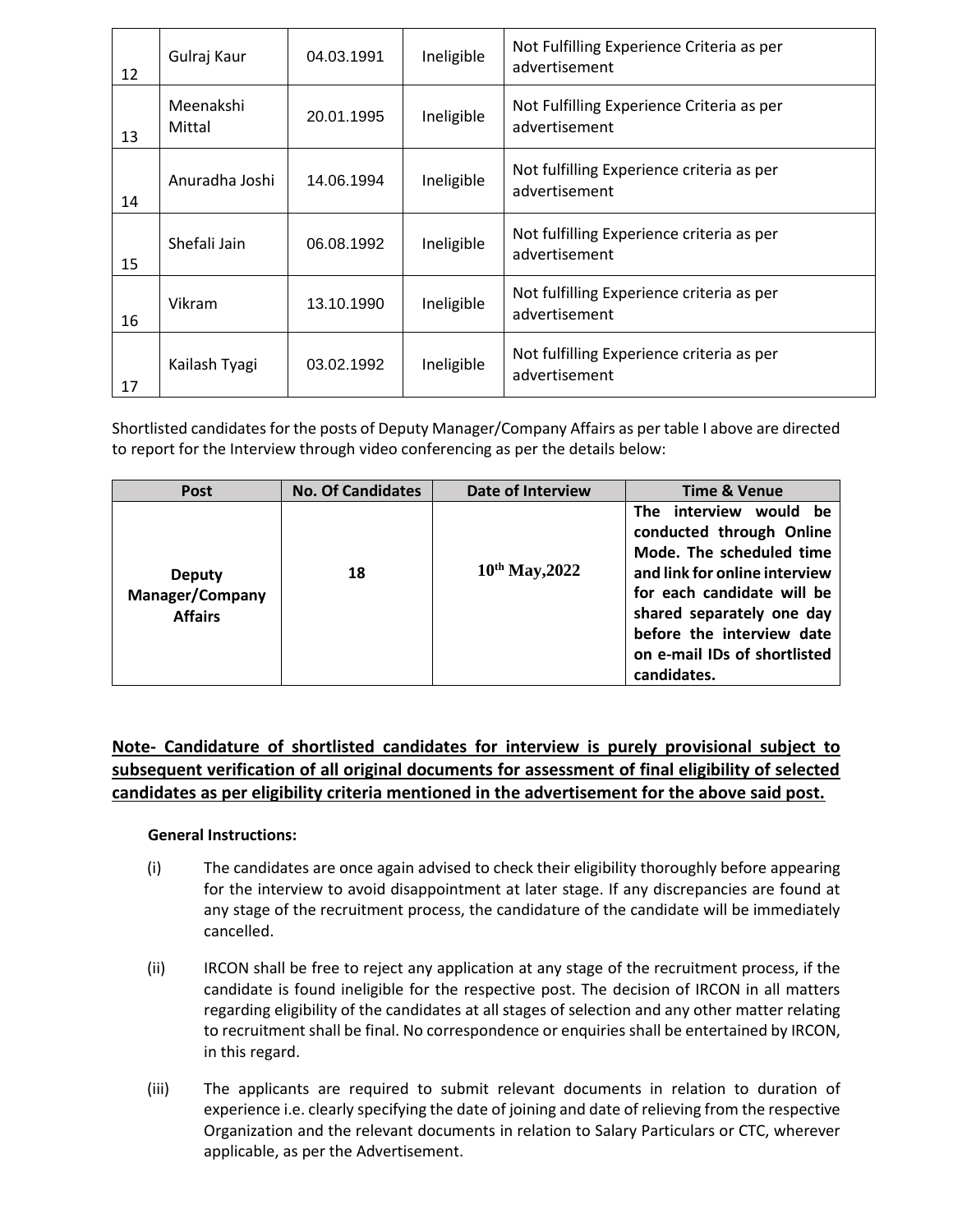| 12 | Gulraj Kaur         | 04.03.1991 | Ineligible | Not Fulfilling Experience Criteria as per<br>advertisement |
|----|---------------------|------------|------------|------------------------------------------------------------|
| 13 | Meenakshi<br>Mittal | 20.01.1995 | Ineligible | Not Fulfilling Experience Criteria as per<br>advertisement |
| 14 | Anuradha Joshi      | 14.06.1994 | Ineligible | Not fulfilling Experience criteria as per<br>advertisement |
| 15 | Shefali Jain        | 06.08.1992 | Ineligible | Not fulfilling Experience criteria as per<br>advertisement |
| 16 | Vikram              | 13.10.1990 | Ineligible | Not fulfilling Experience criteria as per<br>advertisement |
| 17 | Kailash Tyagi       | 03.02.1992 | Ineligible | Not fulfilling Experience criteria as per<br>advertisement |

Shortlisted candidates for the posts of Deputy Manager/Company Affairs as per table I above are directed to report for the Interview through video conferencing as per the details below:

| Post                                                      | <b>No. Of Candidates</b> | <b>Date of Interview</b> | <b>Time &amp; Venue</b>                                                                                                                                                                                                                                |
|-----------------------------------------------------------|--------------------------|--------------------------|--------------------------------------------------------------------------------------------------------------------------------------------------------------------------------------------------------------------------------------------------------|
| <b>Deputy</b><br><b>Manager/Company</b><br><b>Affairs</b> | 18                       | $10^{th}$ May, 2022      | The interview would be<br>conducted through Online<br>Mode. The scheduled time<br>and link for online interview<br>for each candidate will be<br>shared separately one day<br>before the interview date<br>on e-mail IDs of shortlisted<br>candidates. |

# **Note- Candidature of shortlisted candidates for interview is purely provisional subject to subsequent verification of all original documents for assessment of final eligibility of selected candidates as per eligibility criteria mentioned in the advertisement for the above said post.**

### **General Instructions:**

- (i) The candidates are once again advised to check their eligibility thoroughly before appearing for the interview to avoid disappointment at later stage. If any discrepancies are found at any stage of the recruitment process, the candidature of the candidate will be immediately cancelled.
- (ii) IRCON shall be free to reject any application at any stage of the recruitment process, if the candidate is found ineligible for the respective post. The decision of IRCON in all matters regarding eligibility of the candidates at all stages of selection and any other matter relating to recruitment shall be final. No correspondence or enquiries shall be entertained by IRCON, in this regard.
- (iii) The applicants are required to submit relevant documents in relation to duration of experience i.e. clearly specifying the date of joining and date of relieving from the respective Organization and the relevant documents in relation to Salary Particulars or CTC, wherever applicable, as per the Advertisement.